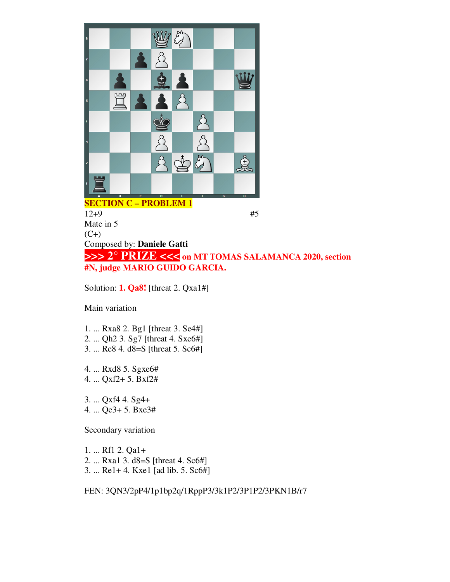

 $12+9$  #5 Mate in 5  $(C+)$ Composed by: **Daniele Gatti >>> 2° PRIZE <<< on MT TOMAS SALAMANCA 2020, section #N, judge MARIO GUIDO GARCIA.**

Solution: **1. Qa8!** [threat 2. Qxa1#]

Main variation

- 1. ... Rxa8 2. Bg1 [threat 3. Se4#]
- 2. ... Qh2 3. Sg7 [threat 4. Sxe6#]
- 3. ... Re8 4. d8=S [threat 5. Sc6#]

4. ... Rxd8 5. Sgxe6# 4. ... Qxf2+ 5. Bxf2#

3. ... Qxf4 4. Sg4+ 4. ... Qe3+ 5. Bxe3#

Secondary variation

1. ... Rf1 2. Qa1+ 2. ... Rxa1 3. d8=S [threat 4. Sc6#] 3. ... Re1+ 4. Kxe1 [ad lib. 5. Sc6#]

FEN: 3QN3/2pP4/1p1bp2q/1RppP3/3k1P2/3P1P2/3PKN1B/r7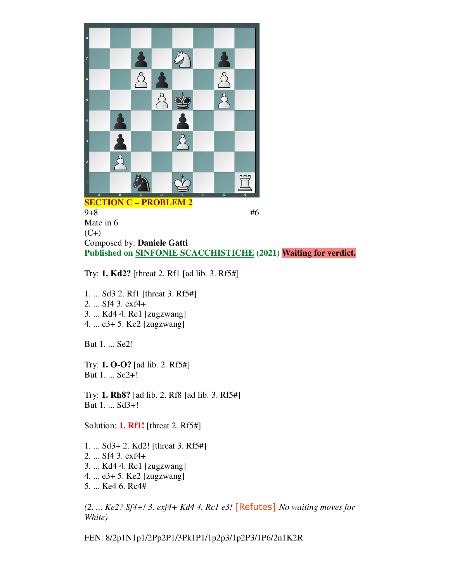

 $9+8$  #6 Mate in 6  $(C+)$ Composed by: **Daniele Gatti Published on SINFONIE SCACCHISTICHE (2021) Waiting for verdict.**

Try: **1. Kd2?** [threat 2. Rf1 [ad lib. 3. Rf5#]

1. ... Sd3 2. Rf1 [threat 3. Rf5#] 2. ... Sf4 3. exf4+ 3. ... Kd4 4. Rc1 [zugzwang] 4. ... e3+ 5. Ke2 [zugzwang]

But 1. ... Se2!

Try: **1. O-O?** [ad lib. 2. Rf5#] But 1. ... Se2+!

Try: **1. Rh8?** [ad lib. 2. Rf8 [ad lib. 3. Rf5#] But 1. ... Sd3+!

Solution: **1. Rf1!** [threat 2. Rf5#]

1. ... Sd3+ 2. Kd2! [threat 3. Rf5#] 2. ... Sf4 3. exf4+ 3. ... Kd4 4. Rc1 [zugzwang] 4. ... e3+ 5. Ke2 [zugzwang] 5. ... Ke4 6. Rc4#

*(2. ... Ke2? Sf4+! 3. exf4+ Kd4 4. Rc1 e3!* [Refutes] *No waiting moves for White)*

FEN: 8/2p1N1p1/2Pp2P1/3Pk1P1/1p2p3/1p2P3/1P6/2n1K2R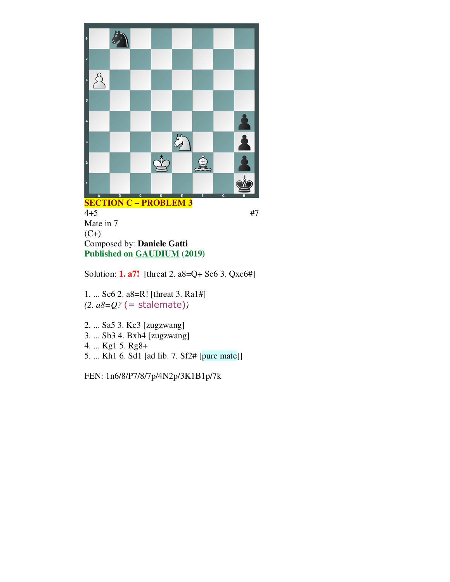

**SECTION C – PROBLEM 3**  $4+5$  #7 Mate in 7  $(C+)$ Composed by: **Daniele Gatti Published on GAUDIUM (2019)**

Solution: **1. a7!** [threat 2. a8=Q+ Sc6 3. Qxc6#]

1. ... Sc6 2. a8=R! [threat 3. Ra1#] *(2. a8=Q?* (= stalemate)*)*

- 2. ... Sa5 3. Kc3 [zugzwang] 3. ... Sb3 4. Bxh4 [zugzwang] 4. ... Kg1 5. Rg8+
- 5. ... Kh1 6. Sd1 [ad lib. 7. Sf2# [pure mate]]

FEN: 1n6/8/P7/8/7p/4N2p/3K1B1p/7k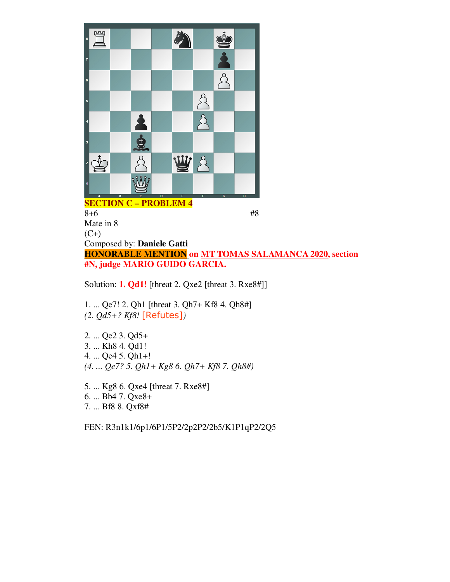

 $8+6$  #8 Mate in 8  $(C+)$ Composed by: **Daniele Gatti HONORABLE MENTION on MT TOMAS SALAMANCA 2020, section #N, judge MARIO GUIDO GARCIA.**

Solution: **1. Qd1!** [threat 2. Qxe2 [threat 3. Rxe8#]]

1. ... Qe7! 2. Qh1 [threat 3. Qh7+ Kf8 4. Qh8#] *(2. Qd5+? Kf8!* [Refutes]*)*

2. ... Qe2 3. Qd5+ 3. ... Kh8 4. Qd1! 4. ... Qe4 5. Qh1+! *(4. ... Qe7? 5. Qh1+ Kg8 6. Qh7+ Kf8 7. Qh8#)*

5. ... Kg8 6. Qxe4 [threat 7. Rxe8#] 6. ... Bb4 7. Qxe8+ 7. ... Bf8 8. Qxf8#

FEN: R3n1k1/6p1/6P1/5P2/2p2P2/2b5/K1P1qP2/2Q5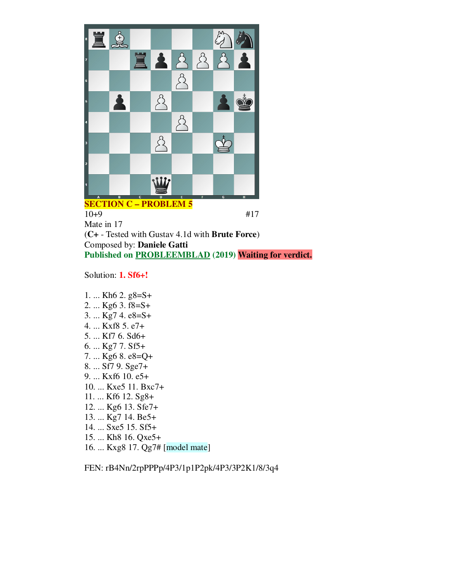

## **SECTION C – PROBLEM 5**

10+9 #17 Mate in 17 (**C+** - Tested with Gustav 4.1d with **Brute Force**) Composed by: **Daniele Gatti Published on PROBLEEMBLAD (2019) Waiting for verdict.**

Solution: **1. Sf6+!**

- 1. ... Kh6 2. g8=S+ 2. ... Kg6 3. f8=S+ 3. ... Kg7 4. e8=S+ 4. ... Kxf8 5. e7+ 5. ... Kf7 6. Sd6+ 6. ... Kg7 7. Sf5+ 7. ... Kg6 8. e8=Q+ 8. ... Sf7 9. Sge7+ 9. ... Kxf6 10. e5+ 10. ... Kxe5 11. Bxc7+ 11. ... Kf6 12. Sg8+ 12. ... Kg6 13. Sfe7+ 13. ... Kg7 14. Be5+ 14. ... Sxe5 15. Sf5+
- 15. ... Kh8 16. Qxe5+
- 16. ... Kxg8 17. Qg7# [model mate]

FEN: rB4Nn/2rpPPPp/4P3/1p1P2pk/4P3/3P2K1/8/3q4